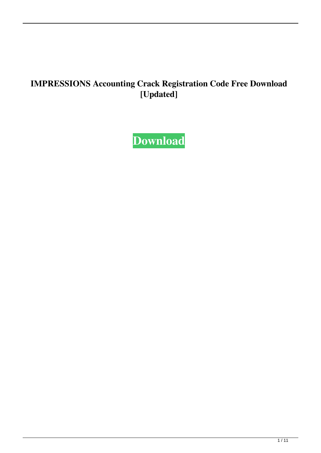#### **IMPRESSIONS Accounting Crack Registration Code Free Download [Updated]**

**[Download](http://evacdir.com/ZG93bmxvYWR8WUozT1dzNWFueDhNVFkxTkRRek5qWTFPSHg4TWpVNU1IeDhLRTBwSUZkdmNtUndjbVZ6Y3lCYldFMU1VbEJESUZZeUlGQkVSbDA/dulled/interlink.oilier/metromedia.SU1QUkVTU0lPTlMgQWNjb3VudGluZwSU1?highlanders=raved)**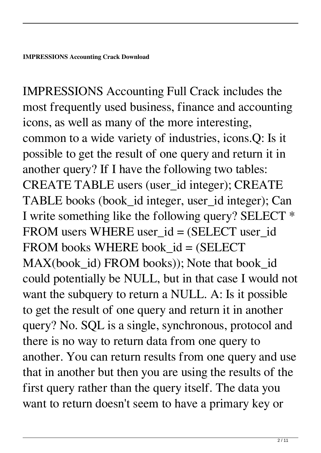IMPRESSIONS Accounting Full Crack includes the most frequently used business, finance and accounting icons, as well as many of the more interesting, common to a wide variety of industries, icons.Q: Is it possible to get the result of one query and return it in another query? If I have the following two tables: CREATE TABLE users (user\_id integer); CREATE TABLE books (book\_id integer, user\_id integer); Can I write something like the following query? SELECT \* FROM users WHERE user  $id = (SELECT$  user  $id$ FROM books WHERE book\_id = (SELECT MAX(book\_id) FROM books)); Note that book\_id could potentially be NULL, but in that case I would not want the subquery to return a NULL. A: Is it possible to get the result of one query and return it in another query? No. SQL is a single, synchronous, protocol and there is no way to return data from one query to another. You can return results from one query and use that in another but then you are using the results of the first query rather than the query itself. The data you want to return doesn't seem to have a primary key or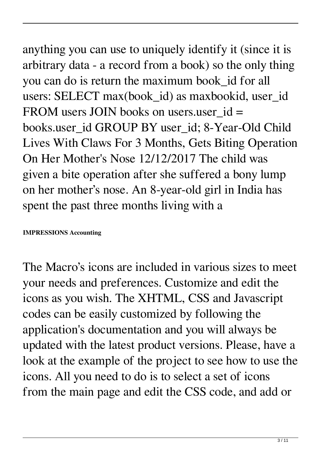### anything you can use to uniquely identify it (since it is arbitrary data - a record from a book) so the only thing you can do is return the maximum book\_id for all users: SELECT max(book id) as maxbookid, user id FROM users JOIN books on users user  $id =$ books.user\_id GROUP BY user\_id; 8-Year-Old Child Lives With Claws For 3 Months, Gets Biting Operation On Her Mother's Nose 12/12/2017 The child was given a bite operation after she suffered a bony lump on her mother's nose. An 8-year-old girl in India has spent the past three months living with a

#### **IMPRESSIONS Accounting**

The Macro's icons are included in various sizes to meet your needs and preferences. Customize and edit the icons as you wish. The XHTML, CSS and Javascript codes can be easily customized by following the application's documentation and you will always be updated with the latest product versions. Please, have a look at the example of the project to see how to use the icons. All you need to do is to select a set of icons from the main page and edit the CSS code, and add or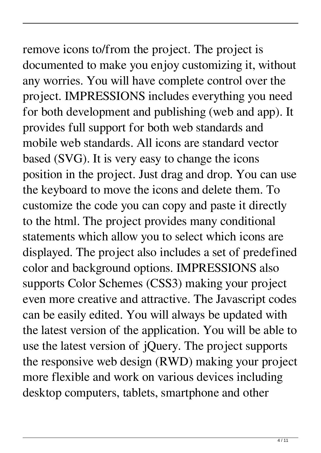remove icons to/from the project. The project is documented to make you enjoy customizing it, without any worries. You will have complete control over the project. IMPRESSIONS includes everything you need for both development and publishing (web and app). It provides full support for both web standards and mobile web standards. All icons are standard vector based (SVG). It is very easy to change the icons position in the project. Just drag and drop. You can use the keyboard to move the icons and delete them. To customize the code you can copy and paste it directly to the html. The project provides many conditional statements which allow you to select which icons are displayed. The project also includes a set of predefined color and background options. IMPRESSIONS also supports Color Schemes (CSS3) making your project even more creative and attractive. The Javascript codes can be easily edited. You will always be updated with the latest version of the application. You will be able to use the latest version of jQuery. The project supports the responsive web design (RWD) making your project

more flexible and work on various devices including desktop computers, tablets, smartphone and other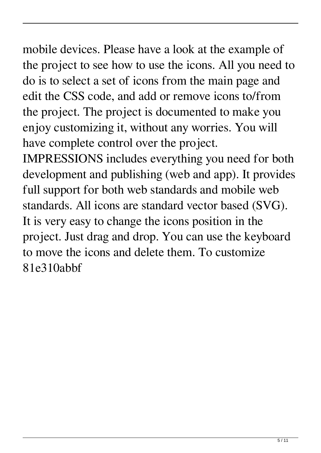### mobile devices. Please have a look at the example of the project to see how to use the icons. All you need to do is to select a set of icons from the main page and edit the CSS code, and add or remove icons to/from the project. The project is documented to make you enjoy customizing it, without any worries. You will have complete control over the project.

IMPRESSIONS includes everything you need for both development and publishing (web and app). It provides full support for both web standards and mobile web standards. All icons are standard vector based (SVG). It is very easy to change the icons position in the project. Just drag and drop. You can use the keyboard to move the icons and delete them. To customize 81e310abbf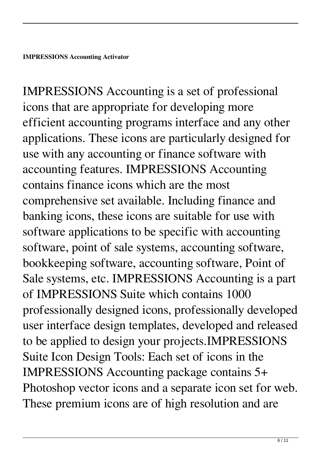IMPRESSIONS Accounting is a set of professional icons that are appropriate for developing more efficient accounting programs interface and any other applications. These icons are particularly designed for use with any accounting or finance software with accounting features. IMPRESSIONS Accounting contains finance icons which are the most comprehensive set available. Including finance and banking icons, these icons are suitable for use with software applications to be specific with accounting software, point of sale systems, accounting software, bookkeeping software, accounting software, Point of Sale systems, etc. IMPRESSIONS Accounting is a part of IMPRESSIONS Suite which contains 1000 professionally designed icons, professionally developed user interface design templates, developed and released to be applied to design your projects.IMPRESSIONS Suite Icon Design Tools: Each set of icons in the IMPRESSIONS Accounting package contains 5+ Photoshop vector icons and a separate icon set for web. These premium icons are of high resolution and are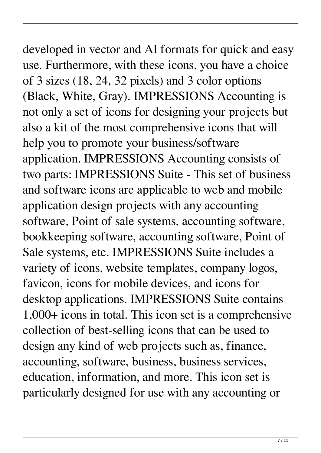## developed in vector and AI formats for quick and easy use. Furthermore, with these icons, you have a choice of 3 sizes (18, 24, 32 pixels) and 3 color options (Black, White, Gray). IMPRESSIONS Accounting is not only a set of icons for designing your projects but also a kit of the most comprehensive icons that will help you to promote your business/software application. IMPRESSIONS Accounting consists of two parts: IMPRESSIONS Suite - This set of business and software icons are applicable to web and mobile application design projects with any accounting software, Point of sale systems, accounting software, bookkeeping software, accounting software, Point of Sale systems, etc. IMPRESSIONS Suite includes a variety of icons, website templates, company logos, favicon, icons for mobile devices, and icons for desktop applications. IMPRESSIONS Suite contains 1,000+ icons in total. This icon set is a comprehensive collection of best-selling icons that can be used to design any kind of web projects such as, finance, accounting, software, business, business services, education, information, and more. This icon set is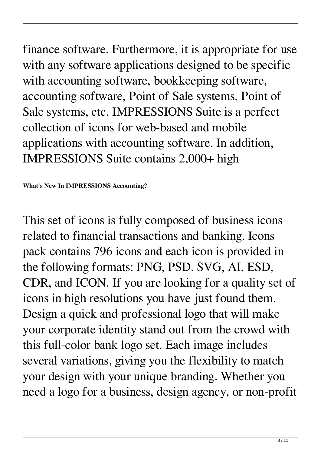finance software. Furthermore, it is appropriate for use with any software applications designed to be specific with accounting software, bookkeeping software, accounting software, Point of Sale systems, Point of Sale systems, etc. IMPRESSIONS Suite is a perfect collection of icons for web-based and mobile applications with accounting software. In addition, IMPRESSIONS Suite contains 2,000+ high

**What's New In IMPRESSIONS Accounting?**

This set of icons is fully composed of business icons related to financial transactions and banking. Icons pack contains 796 icons and each icon is provided in the following formats: PNG, PSD, SVG, AI, ESD, CDR, and ICON. If you are looking for a quality set of icons in high resolutions you have just found them. Design a quick and professional logo that will make your corporate identity stand out from the crowd with this full-color bank logo set. Each image includes several variations, giving you the flexibility to match your design with your unique branding. Whether you need a logo for a business, design agency, or non-profit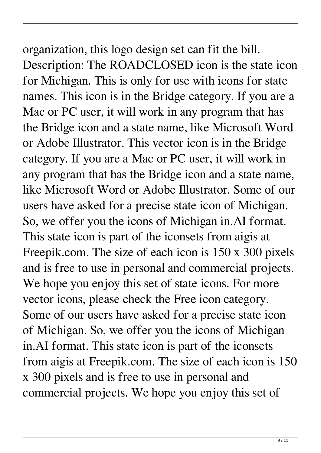# organization, this logo design set can fit the bill. Description: The ROADCLOSED icon is the state icon for Michigan. This is only for use with icons for state names. This icon is in the Bridge category. If you are a

Mac or PC user, it will work in any program that has the Bridge icon and a state name, like Microsoft Word or Adobe Illustrator. This vector icon is in the Bridge category. If you are a Mac or PC user, it will work in any program that has the Bridge icon and a state name, like Microsoft Word or Adobe Illustrator. Some of our users have asked for a precise state icon of Michigan. So, we offer you the icons of Michigan in.AI format. This state icon is part of the iconsets from aigis at Freepik.com. The size of each icon is 150 x 300 pixels and is free to use in personal and commercial projects. We hope you enjoy this set of state icons. For more vector icons, please check the Free icon category. Some of our users have asked for a precise state icon of Michigan. So, we offer you the icons of Michigan in.AI format. This state icon is part of the iconsets from aigis at Freepik.com. The size of each icon is 150 x 300 pixels and is free to use in personal and commercial projects. We hope you enjoy this set of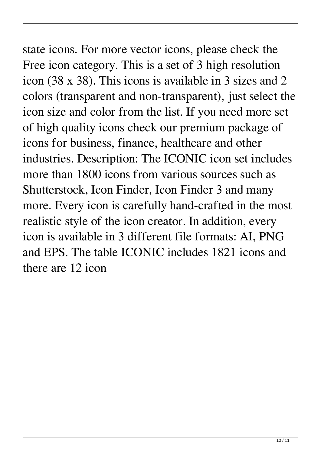### state icons. For more vector icons, please check the Free icon category. This is a set of 3 high resolution icon (38 x 38). This icons is available in 3 sizes and 2 colors (transparent and non-transparent), just select the icon size and color from the list. If you need more set of high quality icons check our premium package of icons for business, finance, healthcare and other industries. Description: The ICONIC icon set includes more than 1800 icons from various sources such as Shutterstock, Icon Finder, Icon Finder 3 and many more. Every icon is carefully hand-crafted in the most realistic style of the icon creator. In addition, every icon is available in 3 different file formats: AI, PNG and EPS. The table ICONIC includes 1821 icons and there are 12 icon